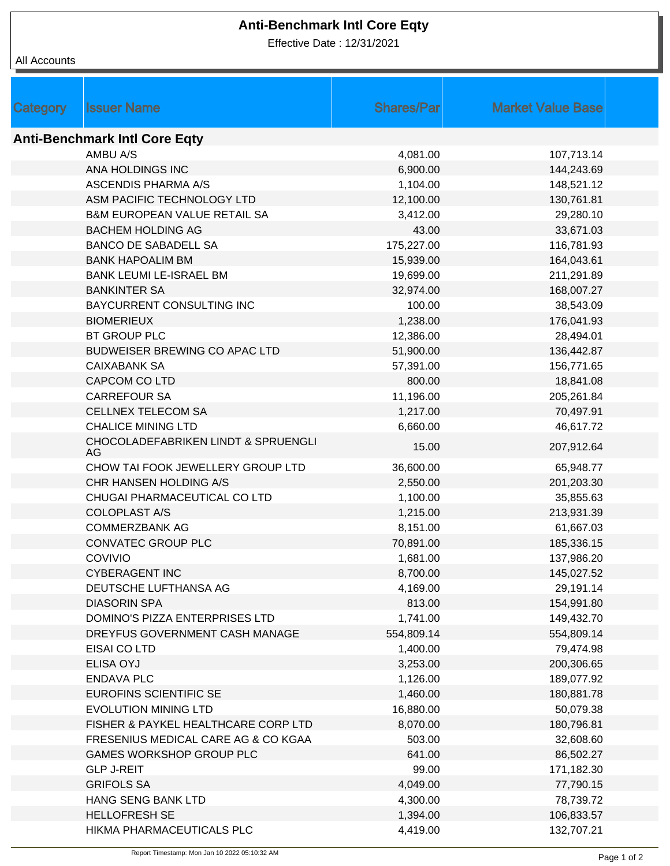# **Anti-Benchmark Intl Core Eqty**

Effective Date : 12/31/2021

|  | All Accounts |
|--|--------------|
|--|--------------|

| Category | <b>Issuer Name</b>                      | <b>Shares/Par</b> | <b>Market Value Base</b> |  |  |  |  |
|----------|-----------------------------------------|-------------------|--------------------------|--|--|--|--|
|          |                                         |                   |                          |  |  |  |  |
|          | <b>Anti-Benchmark Intl Core Eqty</b>    |                   |                          |  |  |  |  |
|          | AMBU A/S                                | 4,081.00          | 107,713.14               |  |  |  |  |
|          | ANA HOLDINGS INC                        | 6,900.00          | 144,243.69               |  |  |  |  |
|          | <b>ASCENDIS PHARMA A/S</b>              | 1,104.00          | 148,521.12               |  |  |  |  |
|          | ASM PACIFIC TECHNOLOGY LTD              | 12,100.00         | 130,761.81               |  |  |  |  |
|          | <b>B&amp;M EUROPEAN VALUE RETAIL SA</b> | 3,412.00          | 29,280.10                |  |  |  |  |
|          | <b>BACHEM HOLDING AG</b>                | 43.00             | 33,671.03                |  |  |  |  |
|          | <b>BANCO DE SABADELL SA</b>             | 175,227.00        | 116,781.93               |  |  |  |  |
|          | <b>BANK HAPOALIM BM</b>                 | 15,939.00         | 164,043.61               |  |  |  |  |
|          | <b>BANK LEUMI LE-ISRAEL BM</b>          | 19,699.00         | 211,291.89               |  |  |  |  |
|          | <b>BANKINTER SA</b>                     | 32,974.00         | 168,007.27               |  |  |  |  |
|          | BAYCURRENT CONSULTING INC               | 100.00            | 38,543.09                |  |  |  |  |
|          | <b>BIOMERIEUX</b>                       | 1,238.00          | 176,041.93               |  |  |  |  |
|          | <b>BT GROUP PLC</b>                     | 12,386.00         | 28,494.01                |  |  |  |  |
|          | BUDWEISER BREWING CO APAC LTD           | 51,900.00         | 136,442.87               |  |  |  |  |
|          | <b>CAIXABANK SA</b>                     | 57,391.00         | 156,771.65               |  |  |  |  |
|          | CAPCOM CO LTD                           | 800.00            | 18,841.08                |  |  |  |  |
|          | <b>CARREFOUR SA</b>                     | 11,196.00         | 205,261.84               |  |  |  |  |
|          | <b>CELLNEX TELECOM SA</b>               | 1,217.00          | 70,497.91                |  |  |  |  |
|          | <b>CHALICE MINING LTD</b>               | 6,660.00          | 46,617.72                |  |  |  |  |
|          | CHOCOLADEFABRIKEN LINDT & SPRUENGLI     |                   |                          |  |  |  |  |
|          | AG                                      | 15.00             | 207,912.64               |  |  |  |  |
|          | CHOW TAI FOOK JEWELLERY GROUP LTD       | 36,600.00         | 65,948.77                |  |  |  |  |
|          | CHR HANSEN HOLDING A/S                  | 2,550.00          | 201,203.30               |  |  |  |  |
|          | CHUGAI PHARMACEUTICAL CO LTD            | 1,100.00          | 35,855.63                |  |  |  |  |
|          | <b>COLOPLAST A/S</b>                    | 1,215.00          | 213,931.39               |  |  |  |  |
|          | <b>COMMERZBANK AG</b>                   | 8,151.00          | 61,667.03                |  |  |  |  |
|          | <b>CONVATEC GROUP PLC</b>               | 70,891.00         | 185,336.15               |  |  |  |  |
|          | COVIVIO                                 | 1,681.00          | 137,986.20               |  |  |  |  |
|          | <b>CYBERAGENT INC</b>                   | 8,700.00          | 145,027.52               |  |  |  |  |
|          | DEUTSCHE LUFTHANSA AG                   | 4,169.00          | 29,191.14                |  |  |  |  |
|          | <b>DIASORIN SPA</b>                     | 813.00            | 154,991.80               |  |  |  |  |
|          | DOMINO'S PIZZA ENTERPRISES LTD          | 1,741.00          | 149,432.70               |  |  |  |  |
|          | DREYFUS GOVERNMENT CASH MANAGE          | 554,809.14        | 554,809.14               |  |  |  |  |
|          | EISAI CO LTD                            | 1,400.00          | 79,474.98                |  |  |  |  |
|          | <b>ELISA OYJ</b>                        | 3,253.00          | 200,306.65               |  |  |  |  |
|          | <b>ENDAVA PLC</b>                       | 1,126.00          | 189,077.92               |  |  |  |  |
|          | EUROFINS SCIENTIFIC SE                  | 1,460.00          | 180,881.78               |  |  |  |  |
|          | <b>EVOLUTION MINING LTD</b>             | 16,880.00         | 50,079.38                |  |  |  |  |
|          | FISHER & PAYKEL HEALTHCARE CORP LTD     | 8,070.00          | 180,796.81               |  |  |  |  |
|          | FRESENIUS MEDICAL CARE AG & CO KGAA     | 503.00            | 32,608.60                |  |  |  |  |
|          | GAMES WORKSHOP GROUP PLC                | 641.00            | 86,502.27                |  |  |  |  |
|          | <b>GLP J-REIT</b>                       | 99.00             | 171,182.30               |  |  |  |  |
|          | <b>GRIFOLS SA</b>                       | 4,049.00          | 77,790.15                |  |  |  |  |
|          | HANG SENG BANK LTD                      | 4,300.00          | 78,739.72                |  |  |  |  |
|          | <b>HELLOFRESH SE</b>                    | 1,394.00          | 106,833.57               |  |  |  |  |
|          | HIKMA PHARMACEUTICALS PLC               | 4,419.00          | 132,707.21               |  |  |  |  |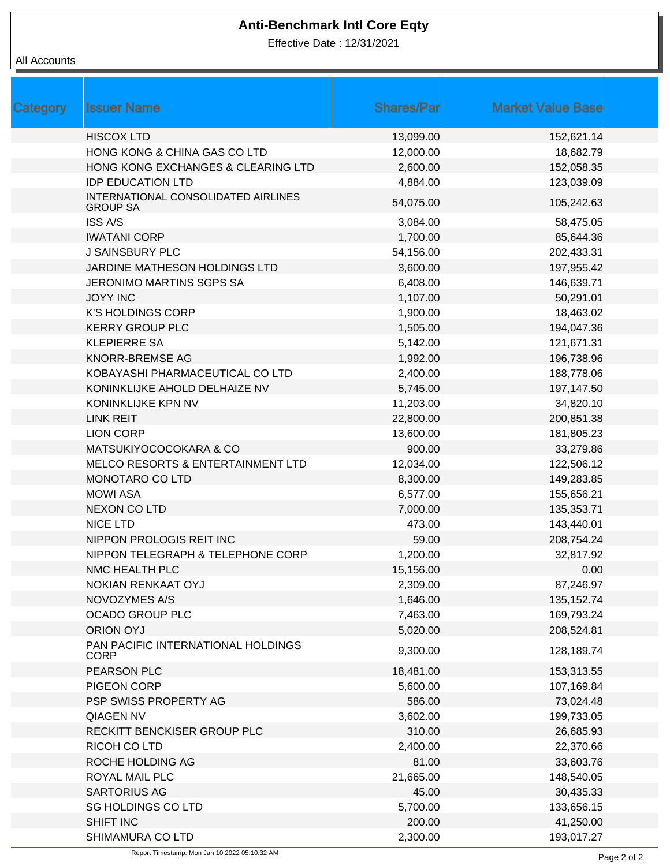# **Anti-Benchmark Intl Core Eqty**

Effective Date : 12/31/2021

### All Accounts

| Category | <b>Issuer Name</b>                                     | <b>Shares/Par</b> | <b>Market Value Base</b> |  |
|----------|--------------------------------------------------------|-------------------|--------------------------|--|
|          | <b>HISCOX LTD</b>                                      | 13,099.00         | 152,621.14               |  |
|          | HONG KONG & CHINA GAS CO LTD                           | 12,000.00         | 18,682.79                |  |
|          | HONG KONG EXCHANGES & CLEARING LTD                     | 2,600.00          | 152,058.35               |  |
|          | <b>IDP EDUCATION LTD</b>                               | 4,884.00          | 123,039.09               |  |
|          | INTERNATIONAL CONSOLIDATED AIRLINES<br><b>GROUP SA</b> | 54,075.00         | 105,242.63               |  |
|          | <b>ISS A/S</b>                                         | 3,084.00          | 58,475.05                |  |
|          | <b>IWATANI CORP</b>                                    | 1,700.00          | 85,644.36                |  |
|          | <b>J SAINSBURY PLC</b>                                 | 54,156.00         | 202,433.31               |  |
|          | JARDINE MATHESON HOLDINGS LTD                          | 3,600.00          | 197,955.42               |  |
|          | <b>JERONIMO MARTINS SGPS SA</b>                        | 6,408.00          | 146,639.71               |  |
|          | <b>JOYY INC</b>                                        | 1,107.00          | 50,291.01                |  |
|          | <b>K'S HOLDINGS CORP</b>                               | 1,900.00          | 18,463.02                |  |
|          | <b>KERRY GROUP PLC</b>                                 | 1,505.00          | 194,047.36               |  |
|          | <b>KLEPIERRE SA</b>                                    | 5,142.00          | 121,671.31               |  |
|          | <b>KNORR-BREMSE AG</b>                                 | 1,992.00          | 196,738.96               |  |
|          | KOBAYASHI PHARMACEUTICAL CO LTD                        | 2,400.00          | 188,778.06               |  |
|          | KONINKLIJKE AHOLD DELHAIZE NV                          | 5,745.00          | 197,147.50               |  |
|          | KONINKLIJKE KPN NV                                     | 11,203.00         | 34,820.10                |  |
|          | <b>LINK REIT</b>                                       | 22,800.00         | 200,851.38               |  |
|          | <b>LION CORP</b>                                       | 13,600.00         | 181,805.23               |  |
|          | MATSUKIYOCOCOKARA & CO                                 | 900.00            | 33,279.86                |  |
|          | MELCO RESORTS & ENTERTAINMENT LTD                      | 12,034.00         | 122,506.12               |  |
|          | MONOTARO CO LTD                                        | 8,300.00          | 149,283.85               |  |
|          | <b>MOWI ASA</b>                                        | 6,577.00          | 155,656.21               |  |
|          | <b>NEXON CO LTD</b>                                    | 7,000.00          | 135,353.71               |  |
|          | <b>NICE LTD</b>                                        | 473.00            | 143,440.01               |  |
|          | NIPPON PROLOGIS REIT INC                               | 59.00             | 208,754.24               |  |
|          | NIPPON TELEGRAPH & TELEPHONE CORP                      | 1,200.00          | 32,817.92                |  |
|          | NMC HEALTH PLC                                         | 15,156.00         | 0.00                     |  |
|          | <b>NOKIAN RENKAAT OYJ</b>                              | 2,309.00          | 87,246.97                |  |
|          | NOVOZYMES A/S                                          | 1,646.00          | 135, 152. 74             |  |
|          | <b>OCADO GROUP PLC</b>                                 | 7,463.00          | 169,793.24               |  |
|          | <b>ORION OYJ</b>                                       | 5,020.00          | 208,524.81               |  |
|          | PAN PACIFIC INTERNATIONAL HOLDINGS<br><b>CORP</b>      | 9,300.00          | 128,189.74               |  |
|          | PEARSON PLC                                            | 18,481.00         | 153,313.55               |  |
|          | PIGEON CORP                                            | 5,600.00          | 107,169.84               |  |
|          | PSP SWISS PROPERTY AG                                  | 586.00            | 73,024.48                |  |
|          | QIAGEN NV                                              | 3,602.00          | 199,733.05               |  |
|          | RECKITT BENCKISER GROUP PLC                            | 310.00            | 26,685.93                |  |
|          | RICOH CO LTD                                           | 2,400.00          | 22,370.66                |  |
|          | ROCHE HOLDING AG                                       | 81.00             | 33,603.76                |  |
|          | ROYAL MAIL PLC                                         | 21,665.00         | 148,540.05               |  |
|          | <b>SARTORIUS AG</b>                                    | 45.00             | 30,435.33                |  |
|          | <b>SG HOLDINGS CO LTD</b>                              | 5,700.00          | 133,656.15               |  |
|          | SHIFT INC                                              | 200.00            | 41,250.00                |  |
|          | SHIMAMURA CO LTD                                       | 2,300.00          | 193,017.27               |  |
|          |                                                        |                   |                          |  |